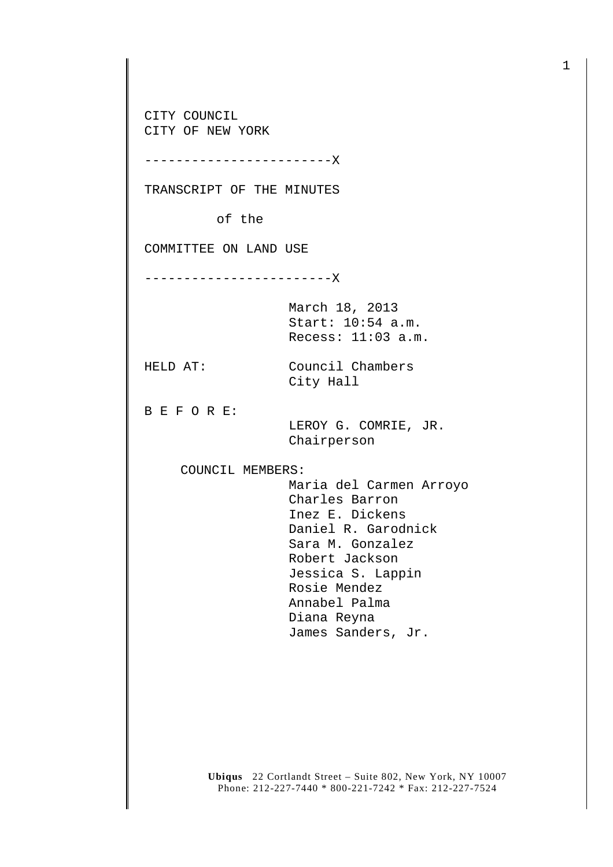CITY COUNCIL CITY OF NEW YORK

------------------------X

TRANSCRIPT OF THE MINUTES

of the

COMMITTEE ON LAND USE

------------------------X

March 18, 2013 Start: 10:54 a.m. Recess: 11:03 a.m.

HELD AT: Council Chambers

City Hall

B E F O R E:

 LEROY G. COMRIE, JR. Chairperson

COUNCIL MEMBERS:

 Maria del Carmen Arroyo Charles Barron Inez E. Dickens Daniel R. Garodnick Sara M. Gonzalez Robert Jackson Jessica S. Lappin Rosie Mendez Annabel Palma Diana Reyna James Sanders, Jr.

**Ubiqus** 22 Cortlandt Street – Suite 802, New York, NY 10007 Phone: 212-227-7440 \* 800-221-7242 \* Fax: 212-227-7524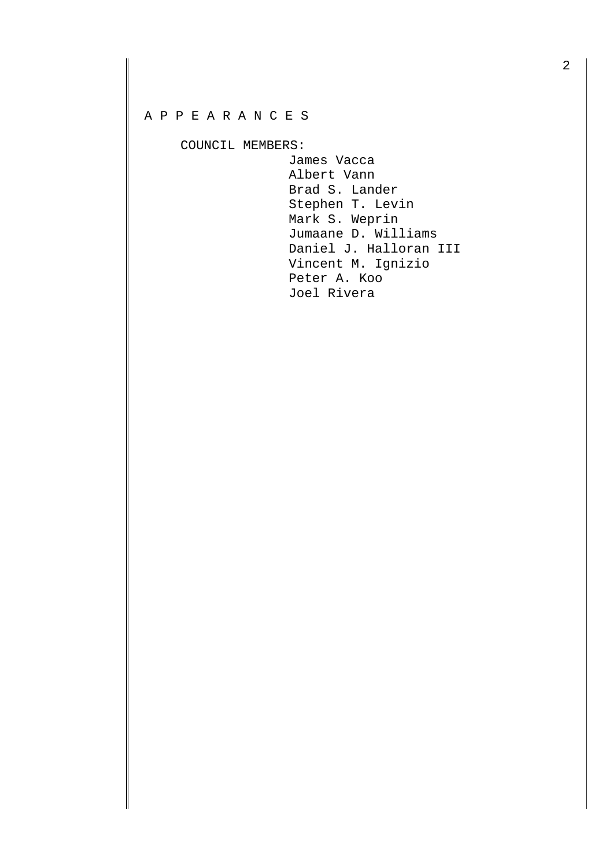## A P P E A R A N C E S

COUNCIL MEMBERS:

 James Vacca Albert Vann Brad S. Lander Stephen T. Levin Mark S. Weprin Jumaane D. Williams Daniel J. Halloran III Vincent M. Ignizio Peter A. Koo Joel Rivera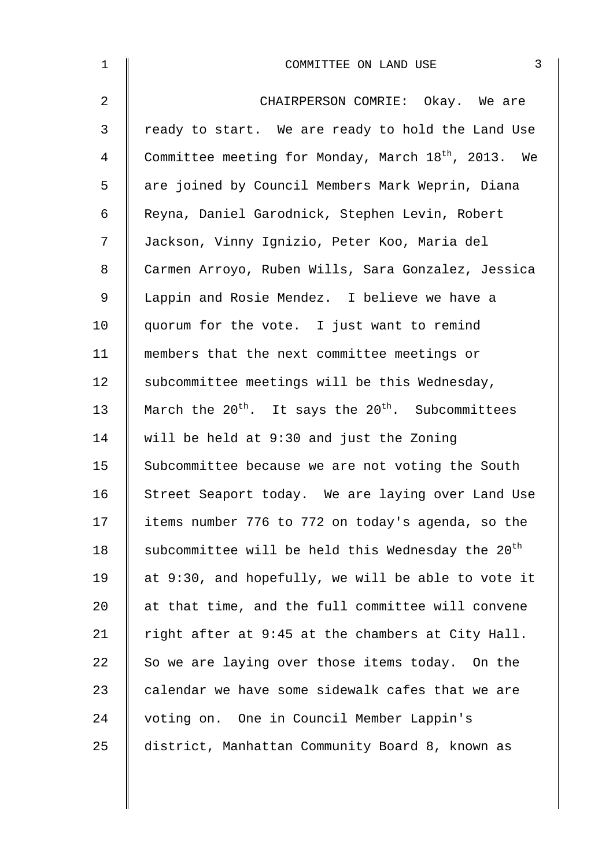| $\mathbf 1$ | 3<br>COMMITTEE ON LAND USE                                      |
|-------------|-----------------------------------------------------------------|
| 2           | CHAIRPERSON COMRIE: Okay. We are                                |
| 3           | ready to start. We are ready to hold the Land Use               |
| 4           | Committee meeting for Monday, March 18 <sup>th</sup> , 2013. We |
| 5           | are joined by Council Members Mark Weprin, Diana                |
| 6           | Reyna, Daniel Garodnick, Stephen Levin, Robert                  |
| 7           | Jackson, Vinny Ignizio, Peter Koo, Maria del                    |
| 8           | Carmen Arroyo, Ruben Wills, Sara Gonzalez, Jessica              |
| 9           | Lappin and Rosie Mendez. I believe we have a                    |
| 10          | quorum for the vote. I just want to remind                      |
| 11          | members that the next committee meetings or                     |
| 12          | subcommittee meetings will be this Wednesday,                   |
| 13          | March the $20^{th}$ . It says the $20^{th}$ . Subcommittees     |
| 14          | will be held at 9:30 and just the Zoning                        |
| 15          | Subcommittee because we are not voting the South                |
| 16          | Street Seaport today. We are laying over Land Use               |
| 17          | items number 776 to 772 on today's agenda, so the               |
| 18          | subcommittee will be held this Wednesday the 20 <sup>th</sup>   |
| 19          | at 9:30, and hopefully, we will be able to vote it              |
| 20          | at that time, and the full committee will convene               |
| 21          | right after at 9:45 at the chambers at City Hall.               |
| 22          | So we are laying over those items today. On the                 |
| 23          | calendar we have some sidewalk cafes that we are                |
| 24          | voting on. One in Council Member Lappin's                       |
| 25          | district, Manhattan Community Board 8, known as                 |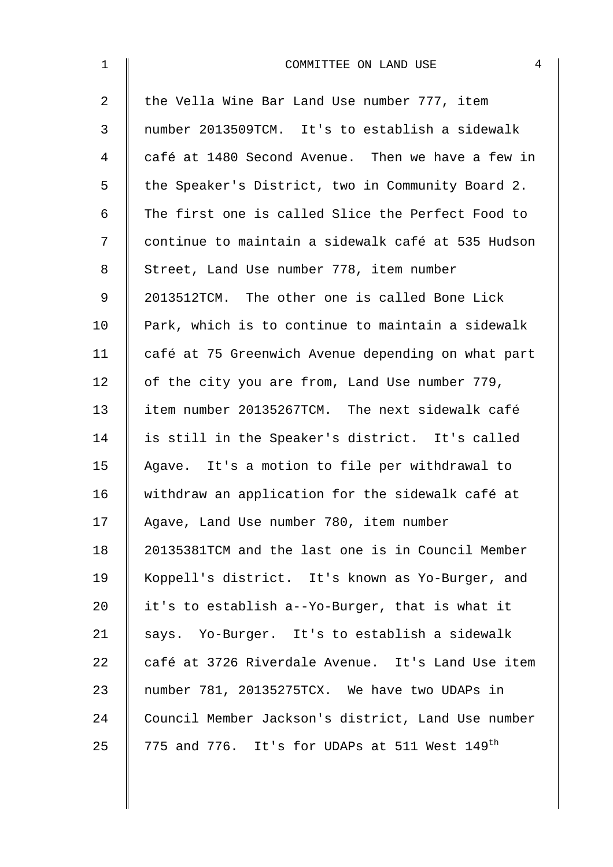| $\mathbf 1$    | $\overline{4}$<br>COMMITTEE ON LAND USE                   |
|----------------|-----------------------------------------------------------|
| $\overline{2}$ | the Vella Wine Bar Land Use number 777, item              |
| 3              | number 2013509TCM. It's to establish a sidewalk           |
| 4              | café at 1480 Second Avenue. Then we have a few in         |
| 5              | the Speaker's District, two in Community Board 2.         |
| 6              | The first one is called Slice the Perfect Food to         |
| 7              | continue to maintain a sidewalk café at 535 Hudson        |
| 8              | Street, Land Use number 778, item number                  |
| 9              | 2013512TCM. The other one is called Bone Lick             |
| 10             | Park, which is to continue to maintain a sidewalk         |
| 11             | café at 75 Greenwich Avenue depending on what part        |
| 12             | of the city you are from, Land Use number 779,            |
| 13             | item number 20135267TCM. The next sidewalk café           |
| 14             | is still in the Speaker's district. It's called           |
| 15             | Agave. It's a motion to file per withdrawal to            |
| 16             | withdraw an application for the sidewalk café at          |
| 17             | Agave, Land Use number 780, item number                   |
| 18             | 20135381TCM and the last one is in Council Member         |
| 19             | Koppell's district. It's known as Yo-Burger, and          |
| 20             | it's to establish a--Yo-Burger, that is what it           |
| 21             | says. Yo-Burger. It's to establish a sidewalk             |
| 22             | café at 3726 Riverdale Avenue. It's Land Use item         |
| 23             | number 781, 20135275TCX. We have two UDAPs in             |
| 24             | Council Member Jackson's district, Land Use number        |
| 25             | 775 and 776. It's for UDAPs at 511 West 149 <sup>th</sup> |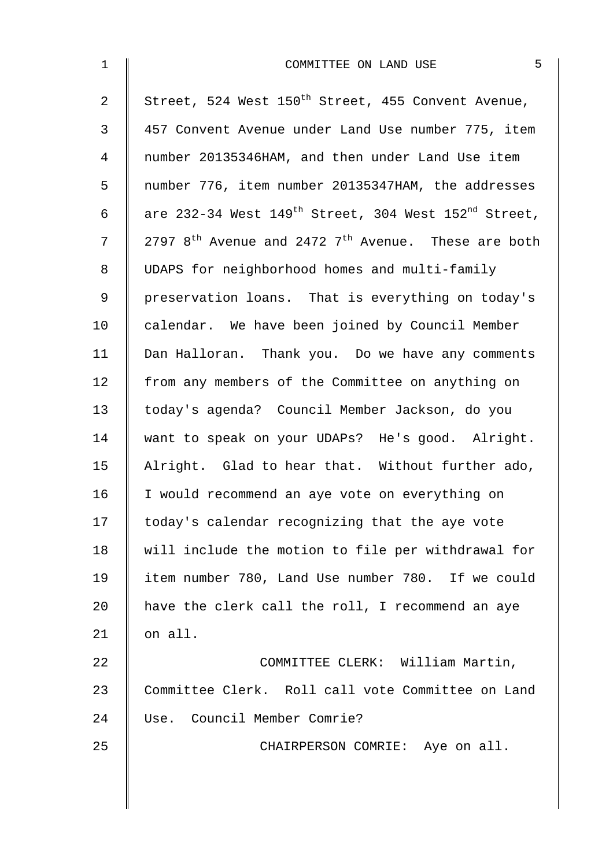| $\mathbf{1}$   | 5<br>COMMITTEE ON LAND USE                                                   |
|----------------|------------------------------------------------------------------------------|
| $\overline{2}$ | Street, 524 West 150 <sup>th</sup> Street, 455 Convent Avenue,               |
| 3              | 457 Convent Avenue under Land Use number 775, item                           |
| $\overline{4}$ | number 20135346HAM, and then under Land Use item                             |
| 5              | number 776, item number 20135347HAM, the addresses                           |
| 6              | are 232-34 West 149 <sup>th</sup> Street, 304 West 152 <sup>nd</sup> Street, |
| 7              | 2797 $8^{\text{th}}$ Avenue and 2472 $7^{\text{th}}$ Avenue. These are both  |
| 8              | UDAPS for neighborhood homes and multi-family                                |
| $\mathsf 9$    | preservation loans. That is everything on today's                            |
| 10             | calendar. We have been joined by Council Member                              |
| 11             | Dan Halloran. Thank you. Do we have any comments                             |
| 12             | from any members of the Committee on anything on                             |
| 13             | today's agenda? Council Member Jackson, do you                               |
| 14             | want to speak on your UDAPs? He's good. Alright.                             |
| 15             | Alright. Glad to hear that. Without further ado,                             |
| 16             | I would recommend an aye vote on everything on                               |
| 17             | today's calendar recognizing that the aye vote                               |
| 18             | will include the motion to file per withdrawal for                           |
| 19             | item number 780, Land Use number 780. If we could                            |
| 20             | have the clerk call the roll, I recommend an aye                             |
| 21             | on all.                                                                      |
| 22             | COMMITTEE CLERK: William Martin,                                             |
| 23             | Committee Clerk. Roll call vote Committee on Land                            |
| 24             | Use. Council Member Comrie?                                                  |
| 25             | CHAIRPERSON COMRIE: Aye on all.                                              |
|                |                                                                              |
|                |                                                                              |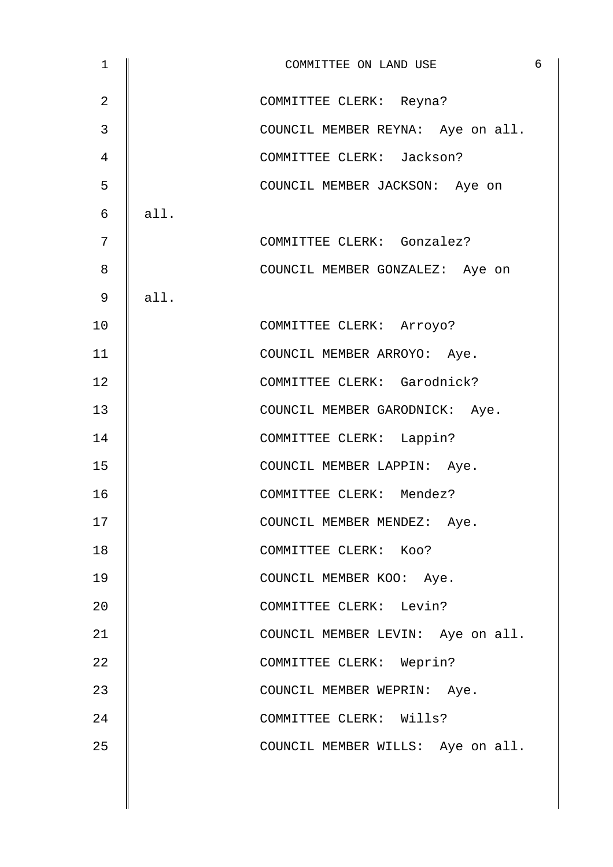| $\mathbf 1$    |      | COMMITTEE ON LAND USE             | $\overline{6}$ |
|----------------|------|-----------------------------------|----------------|
| $\overline{2}$ |      | COMMITTEE CLERK: Reyna?           |                |
| 3              |      | COUNCIL MEMBER REYNA: Aye on all. |                |
| 4              |      | COMMITTEE CLERK: Jackson?         |                |
| 5              |      | COUNCIL MEMBER JACKSON: Aye on    |                |
| 6              | all. |                                   |                |
| 7              |      | COMMITTEE CLERK: Gonzalez?        |                |
| 8              |      | COUNCIL MEMBER GONZALEZ: Aye on   |                |
| 9              | all. |                                   |                |
| 10             |      | COMMITTEE CLERK: Arroyo?          |                |
| 11             |      | COUNCIL MEMBER ARROYO: Aye.       |                |
| 12             |      | COMMITTEE CLERK: Garodnick?       |                |
| 13             |      | COUNCIL MEMBER GARODNICK: Aye.    |                |
| 14             |      | COMMITTEE CLERK: Lappin?          |                |
| 15             |      | COUNCIL MEMBER LAPPIN: Aye.       |                |
| 16             |      | COMMITTEE CLERK: Mendez?          |                |
| 17             |      | COUNCIL MEMBER MENDEZ: Aye.       |                |
| 18             |      | COMMITTEE CLERK: Koo?             |                |
| 19             |      | COUNCIL MEMBER KOO: Aye.          |                |
| 20             |      | COMMITTEE CLERK: Levin?           |                |
| 21             |      | COUNCIL MEMBER LEVIN: Aye on all. |                |
| 22             |      | COMMITTEE CLERK: Weprin?          |                |
| 23             |      | COUNCIL MEMBER WEPRIN: Aye.       |                |
| 24             |      | COMMITTEE CLERK: Wills?           |                |
| 25             |      | COUNCIL MEMBER WILLS: Aye on all. |                |
|                |      |                                   |                |

 $\overline{\phantom{a}}$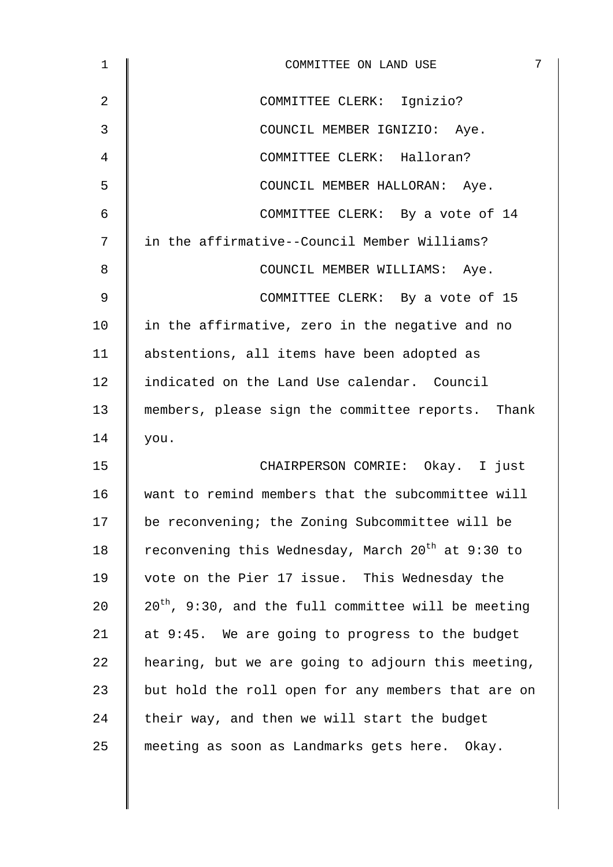| 1              | 7<br>COMMITTEE ON LAND USE                                    |
|----------------|---------------------------------------------------------------|
| $\overline{2}$ | COMMITTEE CLERK: Ignizio?                                     |
| 3              | COUNCIL MEMBER IGNIZIO: Aye.                                  |
| 4              | COMMITTEE CLERK: Halloran?                                    |
| 5              | COUNCIL MEMBER HALLORAN: Aye.                                 |
| 6              | COMMITTEE CLERK: By a vote of 14                              |
| 7              | in the affirmative--Council Member Williams?                  |
| 8              | COUNCIL MEMBER WILLIAMS: Aye.                                 |
| 9              | COMMITTEE CLERK: By a vote of 15                              |
| 10             | in the affirmative, zero in the negative and no               |
| 11             | abstentions, all items have been adopted as                   |
| 12             | indicated on the Land Use calendar. Council                   |
| 13             | members, please sign the committee reports. Thank             |
| 14             | you.                                                          |
| 15             | CHAIRPERSON COMRIE: Okay. I just                              |
| 16             | want to remind members that the subcommittee will             |
| 17             | be reconvening; the Zoning Subcommittee will be               |
| 18             | reconvening this Wednesday, March 20 <sup>th</sup> at 9:30 to |
| 19             | vote on the Pier 17 issue. This Wednesday the                 |
| 20             | $20^{th}$ , 9:30, and the full committee will be meeting      |
| 21             | at 9:45. We are going to progress to the budget               |
| 22             | hearing, but we are going to adjourn this meeting,            |
| 23             | but hold the roll open for any members that are on            |
| 24             | their way, and then we will start the budget                  |
| 25             | meeting as soon as Landmarks gets here. Okay.                 |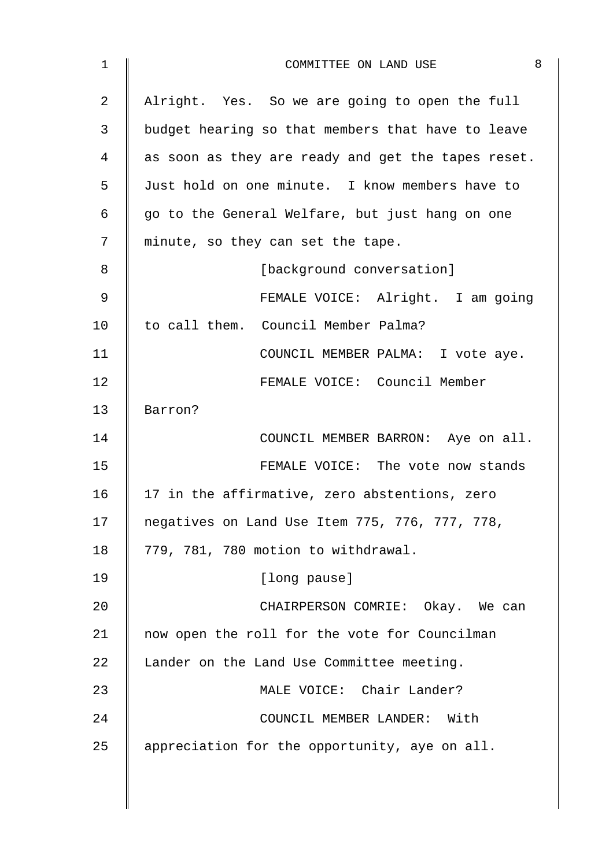| 1              | 8<br>COMMITTEE ON LAND USE                         |
|----------------|----------------------------------------------------|
| $\overline{2}$ | Alright. Yes. So we are going to open the full     |
| 3              | budget hearing so that members that have to leave  |
| 4              | as soon as they are ready and get the tapes reset. |
| 5              | Just hold on one minute. I know members have to    |
| 6              | go to the General Welfare, but just hang on one    |
| 7              | minute, so they can set the tape.                  |
| 8              | [background conversation]                          |
| 9              | FEMALE VOICE: Alright. I am going                  |
| 10             | to call them. Council Member Palma?                |
| 11             | COUNCIL MEMBER PALMA: I vote aye.                  |
| 12             | FEMALE VOICE: Council Member                       |
| 13             | Barron?                                            |
| 14             | COUNCIL MEMBER BARRON: Aye on all.                 |
| 15             | FEMALE VOICE: The vote now stands                  |
| 16             | 17 in the affirmative, zero abstentions, zero      |
| 17             | negatives on Land Use Item 775, 776, 777, 778,     |
| 18             | 779, 781, 780 motion to withdrawal.                |
| 19             | [long pause]                                       |
| 20             | CHAIRPERSON COMRIE: Okay. We can                   |
| 21             | now open the roll for the vote for Councilman      |
| 22             | Lander on the Land Use Committee meeting.          |
| 23             | MALE VOICE: Chair Lander?                          |
| 24             | COUNCIL MEMBER LANDER: With                        |
| 25             | appreciation for the opportunity, aye on all.      |
|                |                                                    |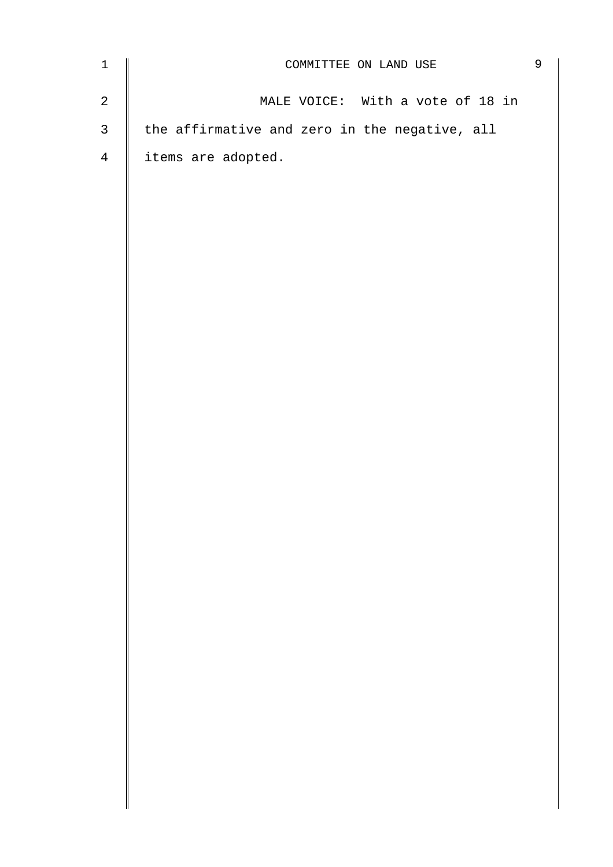| $\mathbf 1$    | COMMITTEE ON LAND USE                         |  |  |
|----------------|-----------------------------------------------|--|--|
| $\mathbf{2}$   | MALE VOICE: With a vote of 18 in              |  |  |
| $\mathfrak{Z}$ | the affirmative and zero in the negative, all |  |  |
| $\overline{4}$ | items are adopted.                            |  |  |
|                |                                               |  |  |
|                |                                               |  |  |
|                |                                               |  |  |
|                |                                               |  |  |
|                |                                               |  |  |
|                |                                               |  |  |
|                |                                               |  |  |
|                |                                               |  |  |
|                |                                               |  |  |
|                |                                               |  |  |
|                |                                               |  |  |
|                |                                               |  |  |
|                |                                               |  |  |
|                |                                               |  |  |
|                |                                               |  |  |
|                |                                               |  |  |
|                |                                               |  |  |
|                |                                               |  |  |
|                |                                               |  |  |
|                |                                               |  |  |
|                |                                               |  |  |
|                |                                               |  |  |